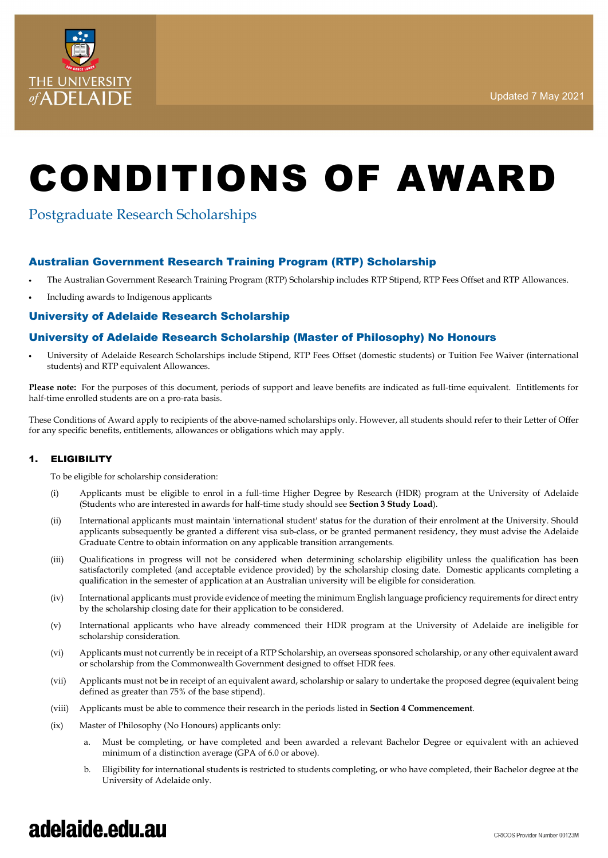

# CONDITIONS OF AWARD

### Postgraduate Research Scholarships

### Australian Government Research Training Program (RTP) Scholarship

- The Australian Government Research Training Program (RTP) Scholarship includes RTP Stipend, RTP Fees Offset and RTP Allowances.
- Including awards to Indigenous applicants

### University of Adelaide Research Scholarship

### University of Adelaide Research Scholarship (Master of Philosophy) No Honours

University of Adelaide Research Scholarships include Stipend, RTP Fees Offset (domestic students) or Tuition Fee Waiver (international students) and RTP equivalent Allowances.

**Please note:** For the purposes of this document, periods of support and leave benefits are indicated as full-time equivalent. Entitlements for half-time enrolled students are on a pro-rata basis.

These Conditions of Award apply to recipients of the above-named scholarships only. However, all students should refer to their Letter of Offer for any specific benefits, entitlements, allowances or obligations which may apply.

#### 1. ELIGIBILITY

To be eligible for scholarship consideration:

- (i) Applicants must be [eligible](https://www.adelaide.edu.au/graduatecentre/handbook/03-considerations-in-applying/02-entry-requirements/) to enrol in a full-time Higher Degree by Research (HDR) program at the University of Adelaide (Students who are interested in awards for half-time study should see **Section 3 Study Load**).
- (ii) International applicants must maintain 'international student' status for the duration of their enrolment at the University. Should applicants subsequently be granted a different visa sub-class, or be granted permanent residency, they must advise the Adelaide Graduate Centre to obtain information on any applicable transition arrangements.
- (iii) Qualifications in progress will not be considered when determining scholarship eligibility unless the qualification has been satisfactorily completed (and acceptable evidence provided) by the scholarship closing date. Domestic applicants completing a qualification in the semester of application at an Australian university will be eligible for consideration.
- (iv) International applicants must provide evidence of meeting the minimum English language proficiency requirements for direct entry by the scholarship closing date for their application to be considered.
- (v) International applicants who have already commenced their HDR program at the University of Adelaide are ineligible for scholarship consideration.
- (vi) Applicants must not currently be in receipt of a RTP Scholarship, an overseas sponsored scholarship, or any other equivalent award or scholarship from the Commonwealth Government designed to offset HDR fees.
- (vii) Applicants must not be in receipt of an equivalent award, scholarship or salary to undertake the proposed degree (equivalent being defined as greater than 75% of the base stipend).
- (viii) Applicants must be able to commence their research in the periods listed in **Section 4 Commencement**.
- (ix) Master of Philosophy (No Honours) applicants only:
	- a. Must be completing, or have completed and been awarded a relevant Bachelor Degree or equivalent with an achieved minimum of a distinction average (GPA of 6.0 or above).
	- b. Eligibility for international students is restricted to students completing, or who have completed, their Bachelor degree at the University of Adelaide only.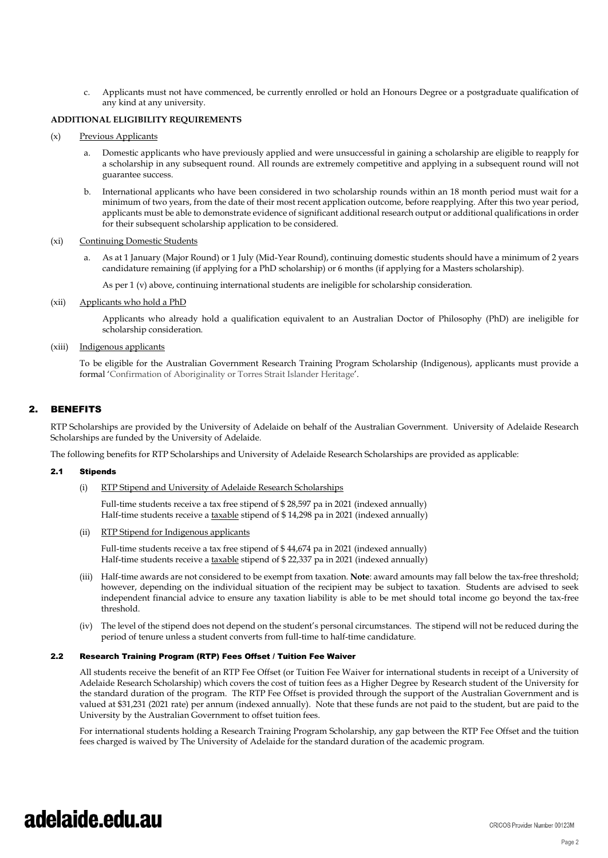c. Applicants must not have commenced, be currently enrolled or hold an Honours Degree or a postgraduate qualification of any kind at any university.

#### **ADDITIONAL ELIGIBILITY REQUIREMENTS**

#### (x) Previous Applicants

- Domestic applicants who have previously applied and were unsuccessful in gaining a scholarship are eligible to reapply for a scholarship in any subsequent round. All rounds are extremely competitive and applying in a subsequent round will not guarantee success.
- b. International applicants who have been considered in two scholarship rounds within an 18 month period must wait for a minimum of two years, from the date of their most recent application outcome, before reapplying. After this two year period, applicants must be able to demonstrate evidence of significant additional research output or additional qualifications in order for their subsequent scholarship application to be considered.

#### (xi) Continuing Domestic Students

a. As at 1 January (Major Round) or 1 July (Mid-Year Round), continuing domestic students should have a minimum of 2 years candidature remaining (if applying for a PhD scholarship) or 6 months (if applying for a Masters scholarship).

As per 1 (v) above, continuing international students are ineligible for scholarship consideration.

(xii) Applicants who hold a PhD

Applicants who already hold a qualification equivalent to an Australian Doctor of Philosophy (PhD) are ineligible for scholarship consideration.

#### (xiii) Indigenous applicants

To be eligible for the Australian Government Research Training Program Scholarship (Indigenous), applicants must provide a formal 'Confirmation of Aboriginality or Torres Strait Islander Heritage'.

#### 2. BENEFITS

RTP Scholarships are provided by the University of Adelaide on behalf of the Australian Government. University of Adelaide Research Scholarships are funded by the University of Adelaide.

The following benefits for RTP Scholarships and University of Adelaide Research Scholarships are provided as applicable:

#### 2.1 Stipends

(i) RTP Stipend and University of Adelaide Research Scholarships

Full-time students receive a tax free stipend of \$ 28,597 pa in 2021 (indexed annually) Half-time students receive a taxable stipend of \$14,298 pa in 2021 (indexed annually)

#### (ii) RTP Stipend for Indigenous applicants

Full-time students receive a tax free stipend of \$ 44,674 pa in 2021 (indexed annually) Half-time students receive a taxable stipend of \$22,337 pa in 2021 (indexed annually)

- (iii) Half-time awards are not considered to be exempt from taxation. **Note**: award amounts may fall below the tax-free threshold; however, depending on the individual situation of the recipient may be subject to taxation. Students are advised to seek independent financial advice to ensure any taxation liability is able to be met should total income go beyond the tax-free threshold.
- (iv) The level of the stipend does not depend on the student's personal circumstances. The stipend will not be reduced during the period of tenure unless a student converts from full-time to half-time candidature.

#### 2.2 Research Training Program (RTP) Fees Offset / Tuition Fee Waiver

All students receive the benefit of an RTP Fee Offset (or Tuition Fee Waiver for international students in receipt of a University of Adelaide Research Scholarship) which covers the cost of tuition fees as a Higher Degree by Research student of the University for the standard duration of the program. The RTP Fee Offset is provided through the support of the Australian Government and is valued at \$31,231 (2021 rate) per annum (indexed annually). Note that these funds are not paid to the student, but are paid to the University by the Australian Government to offset tuition fees.

For international students holding a Research Training Program Scholarship, any gap between the RTP Fee Offset and the tuition fees charged is waived by The University of Adelaide for the standard duration of the academic program.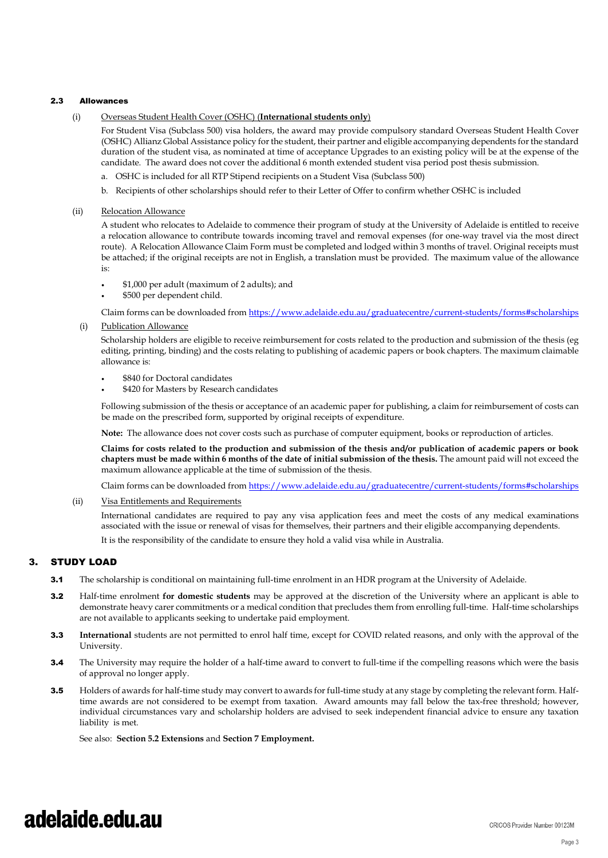#### 2.3 Allowances

#### (i) Overseas Student Health Cover (OSHC) (**International students only**)

For Student Visa (Subclass 500) visa holders, the award may provide compulsory standard Overseas Student Health Cover (OSHC) Allianz Global Assistance policy for the student, their partner and eligible accompanying dependents for the standard duration of the student visa, as nominated at time of acceptance Upgrades to an existing policy will be at the expense of the candidate. The award does not cover the additional 6 month extended student visa period post thesis submission.

- a. OSHC is included for all RTP Stipend recipients on a Student Visa (Subclass 500)
- b. Recipients of other scholarships should refer to their Letter of Offer to confirm whether OSHC is included

#### (ii) Relocation Allowance

A student who relocates to Adelaide to commence their program of study at the University of Adelaide is entitled to receive a relocation allowance to contribute towards incoming travel and removal expenses (for one-way travel via the most direct route). A Relocation Allowance Claim Form must be completed and lodged within 3 months of travel. Original receipts must be attached; if the original receipts are not in English, a translation must be provided. The maximum value of the allowance is:

- \$1,000 per adult (maximum of 2 adults); and
- \$500 per dependent child.

Claim forms can be downloaded fro[m https://www.adelaide.edu.au/graduatecentre/current-students/forms#scholarships](https://www.adelaide.edu.au/graduatecentre/current-students/forms#scholarships)

(i) Publication Allowance

Scholarship holders are eligible to receive reimbursement for costs related to the production and submission of the thesis (eg editing, printing, binding) and the costs relating to publishing of academic papers or book chapters. The maximum claimable allowance is:

- \$840 for Doctoral candidates
- \$420 for Masters by Research candidates

Following submission of the thesis or acceptance of an academic paper for publishing, a claim for reimbursement of costs can be made on the prescribed form, supported by original receipts of expenditure.

**Note:** The allowance does not cover costs such as purchase of computer equipment, books or reproduction of articles.

**Claims for costs related to the production and submission of the thesis and/or publication of academic papers or book chapters must be made within 6 months of the date of initial submission of the thesis.** The amount paid will not exceed the maximum allowance applicable at the time of submission of the thesis.

Claim forms can be downloaded fro[m https://www.adelaide.edu.au/graduatecentre/current-students/forms#scholarships](https://www.adelaide.edu.au/graduatecentre/current-students/forms#scholarships)

(ii) Visa Entitlements and Requirements

International candidates are required to pay any visa application fees and meet the costs of any medical examinations associated with the issue or renewal of visas for themselves, their partners and their eligible accompanying dependents.

It is the responsibility of the candidate to ensure they hold a valid visa while in Australia.

#### 3. STUDY LOAD

- **3.1** The scholarship is conditional on maintaining full-time enrolment in an HDR program at the University of Adelaide.
- 3.2 Half-time enrolment **for domestic students** may be approved at the discretion of the University where an applicant is able to demonstrate heavy carer commitments or a medical condition that precludes them from enrolling full-time. Half-time scholarships are not available to applicants seeking to undertake paid employment.
- 3.3 **International** students are not permitted to enrol half time, except for COVID related reasons, and only with the approval of the University.
- **3.4** The University may require the holder of a half-time award to convert to full-time if the compelling reasons which were the basis of approval no longer apply.
- 3.5 Holders of awards for half-time study may convert to awards for full-time study at any stage by completing the relevant form. Halftime awards are not considered to be exempt from taxation. Award amounts may fall below the tax-free threshold; however, individual circumstances vary and scholarship holders are advised to seek independent financial advice to ensure any taxation liability is met.

See also: **Section 5.2 Extensions** and **Section 7 Employment.**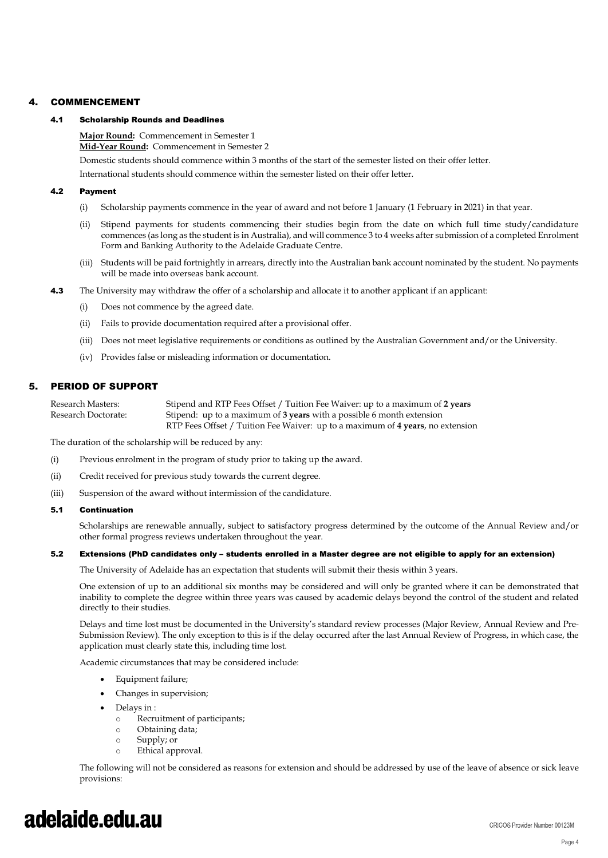#### 4. COMMENCEMENT

#### 4.1 Scholarship Rounds and Deadlines

**Major Round:** Commencement in Semester 1 **Mid-Year Round:** Commencement in Semester 2

Domestic students should commence within 3 months of the start of the semester listed on their offer letter.

International students should commence within the semester listed on their offer letter.

#### 4.2 Payment

- (i) Scholarship payments commence in the year of award and not before 1 January (1 February in 2021) in that year.
- (ii) Stipend payments for students commencing their studies begin from the date on which full time study/candidature commences (as long as the student is in Australia), and will commence 3 to 4 weeks after submission of a completed Enrolment Form and Banking Authority to the Adelaide Graduate Centre.
- (iii) Students will be paid fortnightly in arrears, directly into the Australian bank account nominated by the student. No payments will be made into overseas bank account.
- 4.3 The University may withdraw the offer of a scholarship and allocate it to another applicant if an applicant:
	- (i) Does not commence by the agreed date.
	- (ii) Fails to provide documentation required after a provisional offer.
	- (iii) Does not meet legislative requirements or conditions as outlined by the Australian Government and/or the University.
	- (iv) Provides false or misleading information or documentation.

#### 5. PERIOD OF SUPPORT

Research Masters: Stipend and RTP Fees Offset / Tuition Fee Waiver: up to a maximum of 2 years Research Doctorate: Stipend: up to a maximum of **3 years** with a possible 6 month extension RTP Fees Offset / Tuition Fee Waiver: up to a maximum of **4 years**, no extension

The duration of the scholarship will be reduced by any:

- (i) Previous enrolment in the program of study prior to taking up the award.
- (ii) Credit received for previous study towards the current degree.
- (iii) Suspension of the award without intermission of the candidature.

#### 5.1 Continuation

Scholarships are renewable annually, subject to satisfactory progress determined by the outcome of the Annual Review and/or other formal progress reviews undertaken throughout the year.

#### 5.2 Extensions (PhD candidates only – students enrolled in a Master degree are not eligible to apply for an extension)

The University of Adelaide has an expectation that students will submit their thesis within 3 years.

One extension of up to an additional six months may be considered and will only be granted where it can be demonstrated that inability to complete the degree within three years was caused by academic delays beyond the control of the student and related directly to their studies.

Delays and time lost must be documented in the University's standard review processes (Major Review, Annual Review and Pre-Submission Review). The only exception to this is if the delay occurred after the last Annual Review of Progress, in which case, the application must clearly state this, including time lost.

Academic circumstances that may be considered include:

- Equipment failure;
- Changes in supervision;
- Delays in :
	- o Recruitment of participants;<br>
	o Obtaining data:
	- Obtaining data;
	- o Supply; or
	- o Ethical approval.

The following will not be considered as reasons for extension and should be addressed by use of the leave of absence or sick leave provisions: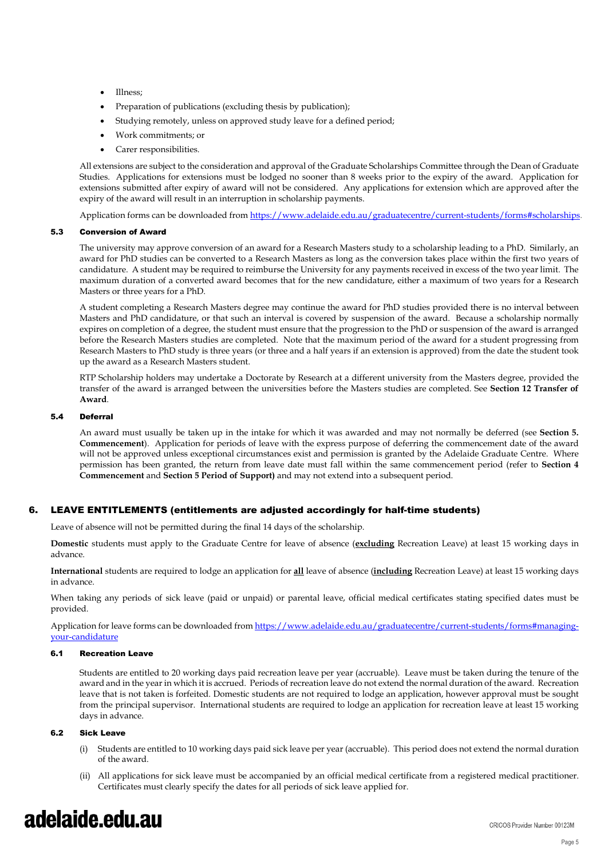- Illness;
- Preparation of publications (excluding thesis by publication);
- Studying remotely, unless on approved study leave for a defined period;
- Work commitments; or
- Carer responsibilities.

All extensions are subject to the consideration and approval of the Graduate Scholarships Committee through the Dean of Graduate Studies. Applications for extensions must be lodged no sooner than 8 weeks prior to the expiry of the award. Application for extensions submitted after expiry of award will not be considered. Any applications for extension which are approved after the expiry of the award will result in an interruption in scholarship payments.

Application forms can be downloaded from https://www.adelaide.edu.au/graduatecentre/current-students/forms#scholarships.

#### 5.3 Conversion of Award

The university may approve conversion of an award for a Research Masters study to a scholarship leading to a PhD. Similarly, an award for PhD studies can be converted to a Research Masters as long as the conversion takes place within the first two years of candidature. A student may be required to reimburse the University for any payments received in excess of the two year limit. The maximum duration of a converted award becomes that for the new candidature, either a maximum of two years for a Research Masters or three years for a PhD.

A student completing a Research Masters degree may continue the award for PhD studies provided there is no interval between Masters and PhD candidature, or that such an interval is covered by suspension of the award. Because a scholarship normally expires on completion of a degree, the student must ensure that the progression to the PhD or suspension of the award is arranged before the Research Masters studies are completed. Note that the maximum period of the award for a student progressing from Research Masters to PhD study is three years (or three and a half years if an extension is approved) from the date the student took up the award as a Research Masters student.

RTP Scholarship holders may undertake a Doctorate by Research at a different university from the Masters degree, provided the transfer of the award is arranged between the universities before the Masters studies are completed. See **Section 12 Transfer of Award**.

#### 5.4 Deferral

An award must usually be taken up in the intake for which it was awarded and may not normally be deferred (see **Section 5. Commencement**). Application for periods of leave with the express purpose of deferring the commencement date of the award will not be approved unless exceptional circumstances exist and permission is granted by the Adelaide Graduate Centre. Where permission has been granted, the return from leave date must fall within the same commencement period (refer to **Section 4 Commencement** and **Section 5 Period of Support)** and may not extend into a subsequent period.

#### 6. LEAVE ENTITLEMENTS (entitlements are adjusted accordingly for half-time students)

Leave of absence will not be permitted during the final 14 days of the scholarship.

**Domestic** students must apply to the Graduate Centre for leave of absence (**excluding** Recreation Leave) at least 15 working days in advance.

**International** students are required to lodge an application for **all** leave of absence (**including** Recreation Leave) at least 15 working days in advance.

When taking any periods of sick leave (paid or unpaid) or parental leave, official medical certificates stating specified dates must be provided.

Application for leave forms can be downloaded fro[m https://www.adelaide.edu.au/graduatecentre/current-students/forms#managing](https://www.adelaide.edu.au/graduatecentre/current-students/forms#managing-your-candidature)[your-candidature](https://www.adelaide.edu.au/graduatecentre/current-students/forms#managing-your-candidature)

#### 6.1 Recreation Leave

Students are entitled to 20 working days paid recreation leave per year (accruable). Leave must be taken during the tenure of the award and in the year in which it is accrued. Periods of recreation leave do not extend the normal duration of the award. Recreation leave that is not taken is forfeited. Domestic students are not required to lodge an application, however approval must be sought from the principal supervisor. International students are required to lodge an application for recreation leave at least 15 working days in advance.

#### 6.2 Sick Leave

- (i) Students are entitled to 10 working days paid sick leave per year (accruable). This period does not extend the normal duration of the award.
- (ii) All applications for sick leave must be accompanied by an official medical certificate from a registered medical practitioner. Certificates must clearly specify the dates for all periods of sick leave applied for.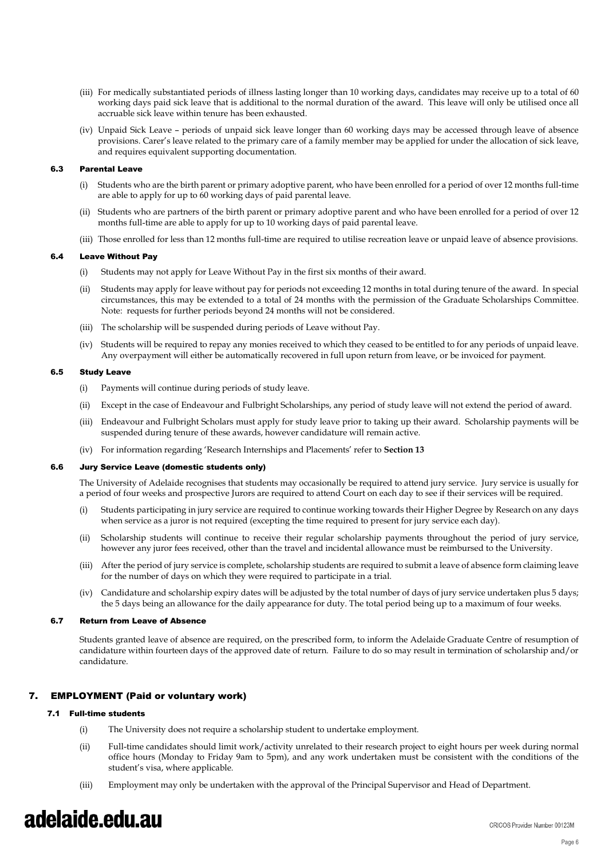- (iii) For medically substantiated periods of illness lasting longer than 10 working days, candidates may receive up to a total of 60 working days paid sick leave that is additional to the normal duration of the award. This leave will only be utilised once all accruable sick leave within tenure has been exhausted.
- (iv) Unpaid Sick Leave periods of unpaid sick leave longer than 60 working days may be accessed through leave of absence provisions. Carer's leave related to the primary care of a family member may be applied for under the allocation of sick leave, and requires equivalent supporting documentation.

#### 6.3 Parental Leave

- (i) Students who are the birth parent or primary adoptive parent, who have been enrolled for a period of over 12 months full-time are able to apply for up to 60 working days of paid parental leave.
- (ii) Students who are partners of the birth parent or primary adoptive parent and who have been enrolled for a period of over 12 months full-time are able to apply for up to 10 working days of paid parental leave.
- (iii) Those enrolled for less than 12 months full-time are required to utilise recreation leave or unpaid leave of absence provisions.

#### 6.4 Leave Without Pay

- (i) Students may not apply for Leave Without Pay in the first six months of their award.
- (ii) Students may apply for leave without pay for periods not exceeding 12 months in total during tenure of the award. In special circumstances, this may be extended to a total of 24 months with the permission of the Graduate Scholarships Committee. Note: requests for further periods beyond 24 months will not be considered.
- (iii) The scholarship will be suspended during periods of Leave without Pay.
- (iv) Students will be required to repay any monies received to which they ceased to be entitled to for any periods of unpaid leave. Any overpayment will either be automatically recovered in full upon return from leave, or be invoiced for payment.

#### 6.5 Study Leave

- (i) Payments will continue during periods of study leave.
- (ii) Except in the case of Endeavour and Fulbright Scholarships, any period of study leave will not extend the period of award.
- (iii) Endeavour and Fulbright Scholars must apply for study leave prior to taking up their award. Scholarship payments will be suspended during tenure of these awards, however candidature will remain active.
- (iv) For information regarding 'Research Internships and Placements' refer to **Section 13**

#### 6.6 Jury Service Leave (domestic students only)

The University of Adelaide recognises that students may occasionally be required to attend jury service. Jury service is usually for a period of four weeks and prospective Jurors are required to attend Court on each day to see if their services will be required.

- (i) Students participating in jury service are required to continue working towards their Higher Degree by Research on any days when service as a juror is not required (excepting the time required to present for jury service each day).
- (ii) Scholarship students will continue to receive their regular scholarship payments throughout the period of jury service, however any juror fees received, other than the travel and incidental allowance must be reimbursed to the University.
- (iii) After the period of jury service is complete, scholarship students are required to submit a leave of absence form claiming leave for the number of days on which they were required to participate in a trial.
- (iv) Candidature and scholarship expiry dates will be adjusted by the total number of days of jury service undertaken plus 5 days; the 5 days being an allowance for the daily appearance for duty. The total period being up to a maximum of four weeks.

#### 6.7 Return from Leave of Absence

Students granted leave of absence are required, on the prescribed form, to inform the Adelaide Graduate Centre of resumption of candidature within fourteen days of the approved date of return. Failure to do so may result in termination of scholarship and/or candidature.

#### 7. EMPLOYMENT (Paid or voluntary work)

#### 7.1 Full-time students

- (i) The University does not require a scholarship student to undertake employment.
- (ii) Full-time candidates should limit work/activity unrelated to their research project to eight hours per week during normal office hours (Monday to Friday 9am to 5pm), and any work undertaken must be consistent with the conditions of the student's visa, where applicable.
- (iii) Employment may only be undertaken with the approval of the Principal Supervisor and Head of Department.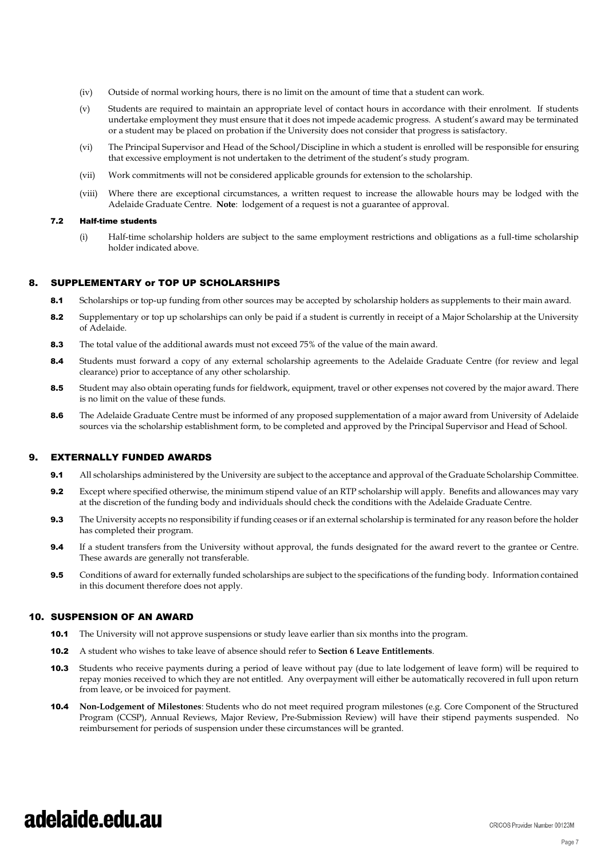- (iv) Outside of normal working hours, there is no limit on the amount of time that a student can work.
- (v) Students are required to maintain an appropriate level of contact hours in accordance with their enrolment. If students undertake employment they must ensure that it does not impede academic progress. A student's award may be terminated or a student may be placed on probation if the University does not consider that progress is satisfactory.
- (vi) The Principal Supervisor and Head of the School/Discipline in which a student is enrolled will be responsible for ensuring that excessive employment is not undertaken to the detriment of the student's study program.
- (vii) Work commitments will not be considered applicable grounds for extension to the scholarship.
- (viii) Where there are exceptional circumstances, a written request to increase the allowable hours may be lodged with the Adelaide Graduate Centre. **Note**: lodgement of a request is not a guarantee of approval.

#### 7.2 Half-time students

(i) Half-time scholarship holders are subject to the same employment restrictions and obligations as a full-time scholarship holder indicated above.

#### 8. SUPPLEMENTARY or TOP UP SCHOLARSHIPS

- 8.1 Scholarships or top-up funding from other sources may be accepted by scholarship holders as supplements to their main award.
- 8.2 Supplementary or top up scholarships can only be paid if a student is currently in receipt of a Major Scholarship at the University of Adelaide.
- 8.3 The total value of the additional awards must not exceed 75% of the value of the main award.
- 8.4 Students must forward a copy of any external scholarship agreements to the Adelaide Graduate Centre (for review and legal clearance) prior to acceptance of any other scholarship.
- 8.5 Student may also obtain operating funds for fieldwork, equipment, travel or other expenses not covered by the major award. There is no limit on the value of these funds.
- 8.6 The Adelaide Graduate Centre must be informed of any proposed supplementation of a major award from University of Adelaide sources via the scholarship establishment form, to be completed and approved by the Principal Supervisor and Head of School.

#### 9. EXTERNALLY FUNDED AWARDS

- 9.1 All scholarships administered by the University are subject to the acceptance and approval of the Graduate Scholarship Committee.
- **9.2** Except where specified otherwise, the minimum stipend value of an RTP scholarship will apply. Benefits and allowances may vary at the discretion of the funding body and individuals should check the conditions with the Adelaide Graduate Centre.
- **9.3** The University accepts no responsibility if funding ceases or if an external scholarship is terminated for any reason before the holder has completed their program.
- **9.4** If a student transfers from the University without approval, the funds designated for the award revert to the grantee or Centre. These awards are generally not transferable.
- **9.5** Conditions of award for externally funded scholarships are subject to the specifications of the funding body. Information contained in this document therefore does not apply.

#### 10. SUSPENSION OF AN AWARD

- **10.1** The University will not approve suspensions or study leave earlier than six months into the program.
- 10.2 A student who wishes to take leave of absence should refer to **Section 6 Leave Entitlements**.
- 10.3 Students who receive payments during a period of leave without pay (due to late lodgement of leave form) will be required to repay monies received to which they are not entitled. Any overpayment will either be automatically recovered in full upon return from leave, or be invoiced for payment.
- 10.4 **Non-Lodgement of Milestones**: Students who do not meet required program milestones (e.g. Core Component of the Structured Program (CCSP), Annual Reviews, Major Review, Pre-Submission Review) will have their stipend payments suspended. No reimbursement for periods of suspension under these circumstances will be granted.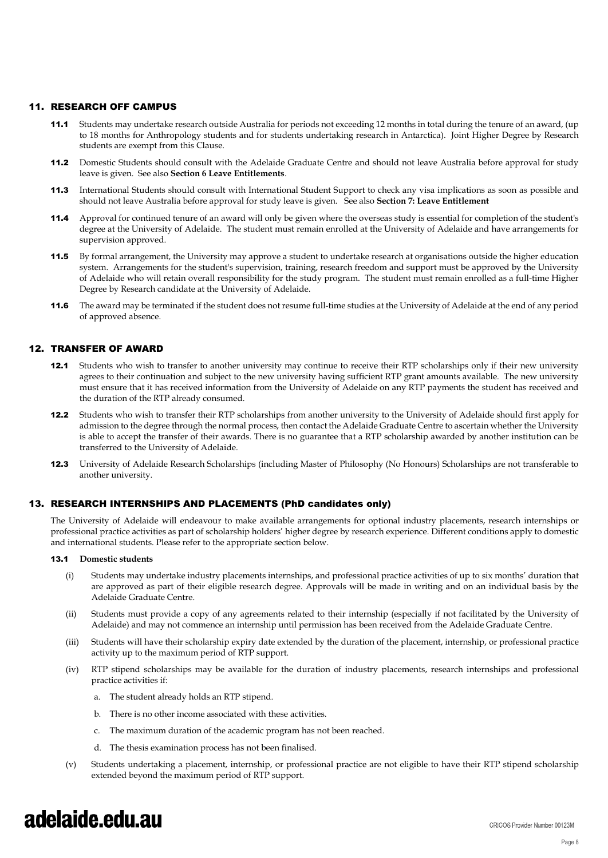#### 11. RESEARCH OFF CAMPUS

- 11.1 Students may undertake research outside Australia for periods not exceeding 12 months in total during the tenure of an award, (up to 18 months for Anthropology students and for students undertaking research in Antarctica). Joint Higher Degree by Research students are exempt from this Clause.
- 11.2 Domestic Students should consult with the Adelaide Graduate Centre and should not leave Australia before approval for study leave is given. See also **Section 6 Leave Entitlements**.
- 11.3 International Students should consult with International Student Support to check any visa implications as soon as possible and should not leave Australia before approval for study leave is given. See also **Section 7: Leave Entitlement**
- 11.4 Approval for continued tenure of an award will only be given where the overseas study is essential for completion of the student's degree at the University of Adelaide. The student must remain enrolled at the University of Adelaide and have arrangements for supervision approved.
- 11.5 By formal arrangement, the University may approve a student to undertake research at organisations outside the higher education system. Arrangements for the student's supervision, training, research freedom and support must be approved by the University of Adelaide who will retain overall responsibility for the study program. The student must remain enrolled as a full-time Higher Degree by Research candidate at the University of Adelaide.
- 11.6 The award may be terminated if the student does not resume full-time studies at the University of Adelaide at the end of any period of approved absence.

#### 12. TRANSFER OF AWARD

- 12.1 Students who wish to transfer to another university may continue to receive their RTP scholarships only if their new university agrees to their continuation and subject to the new university having sufficient RTP grant amounts available. The new university must ensure that it has received information from the University of Adelaide on any RTP payments the student has received and the duration of the RTP already consumed.
- 12.2 Students who wish to transfer their RTP scholarships from another university to the University of Adelaide should first apply for admission to the degree through the normal process, then contact the Adelaide Graduate Centre to ascertain whether the University is able to accept the transfer of their awards. There is no guarantee that a RTP scholarship awarded by another institution can be transferred to the University of Adelaide.
- 12.3 University of Adelaide Research Scholarships (including Master of Philosophy (No Honours) Scholarships are not transferable to another university.

#### 13. RESEARCH INTERNSHIPS AND PLACEMENTS (PhD candidates only)

The University of Adelaide will endeavour to make available arrangements for optional industry placements, research internships or professional practice activities as part of scholarship holders' higher degree by research experience. Different conditions apply to domestic and international students. Please refer to the appropriate section below.

#### 13.1 **Domestic students**

- (i) Students may undertake industry placements internships, and professional practice activities of up to six months' duration that are approved as part of their eligible research degree. Approvals will be made in writing and on an individual basis by the Adelaide Graduate Centre.
- (ii) Students must provide a copy of any agreements related to their internship (especially if not facilitated by the University of Adelaide) and may not commence an internship until permission has been received from the Adelaide Graduate Centre.
- (iii) Students will have their scholarship expiry date extended by the duration of the placement, internship, or professional practice activity up to the maximum period of RTP support.
- (iv) RTP stipend scholarships may be available for the duration of industry placements, research internships and professional practice activities if:
	- a. The student already holds an RTP stipend.
	- b. There is no other income associated with these activities.
	- c. The maximum duration of the academic program has not been reached.
	- d. The thesis examination process has not been finalised.
- (v) Students undertaking a placement, internship, or professional practice are not eligible to have their RTP stipend scholarship extended beyond the maximum period of RTP support.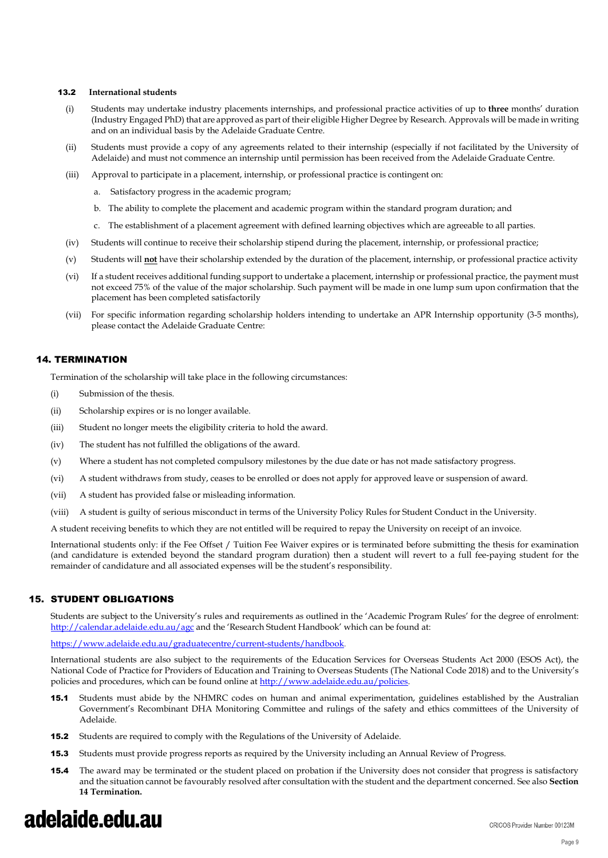#### 13.2 **International students**

- (i) Students may undertake industry placements internships, and professional practice activities of up to **three** months' duration (Industry Engaged PhD) that are approved as part of their eligible Higher Degree by Research. Approvals will be made in writing and on an individual basis by the Adelaide Graduate Centre.
- (ii) Students must provide a copy of any agreements related to their internship (especially if not facilitated by the University of Adelaide) and must not commence an internship until permission has been received from the Adelaide Graduate Centre.
- (iii) Approval to participate in a placement, internship, or professional practice is contingent on:
	- a. Satisfactory progress in the academic program;
	- b. The ability to complete the placement and academic program within the standard program duration; and
	- c. The establishment of a placement agreement with defined learning objectives which are agreeable to all parties.
- (iv) Students will continue to receive their scholarship stipend during the placement, internship, or professional practice;
- (v) Students will **not** have their scholarship extended by the duration of the placement, internship, or professional practice activity
- (vi) If a student receives additional funding support to undertake a placement, internship or professional practice, the payment must not exceed 75% of the value of the major scholarship. Such payment will be made in one lump sum upon confirmation that the placement has been completed satisfactorily
- (vii) For specific information regarding scholarship holders intending to undertake an APR Internship opportunity (3-5 months), please contact the Adelaide Graduate Centre:

#### 14. TERMINATION

Termination of the scholarship will take place in the following circumstances:

- (i) Submission of the thesis.
- (ii) Scholarship expires or is no longer available.
- (iii) Student no longer meets the eligibility criteria to hold the award.
- (iv) The student has not fulfilled the obligations of the award.
- (v) Where a student has not completed compulsory milestones by the due date or has not made satisfactory progress.
- (vi) A student withdraws from study, ceases to be enrolled or does not apply for approved leave or suspension of award.
- (vii) A student has provided false or misleading information.
- (viii) A student is guilty of serious misconduct in terms of the University Policy Rules for Student Conduct in the University.

A student receiving benefits to which they are not entitled will be required to repay the University on receipt of an invoice.

International students only: if the Fee Offset / Tuition Fee Waiver expires or is terminated before submitting the thesis for examination (and candidature is extended beyond the standard program duration) then a student will revert to a full fee-paying student for the remainder of candidature and all associated expenses will be the student's responsibility.

#### 15. STUDENT OBLIGATIONS

Students are subject to the University's rules and requirements as outlined in the 'Academic Program Rules' for the degree of enrolment: <http://calendar.adelaide.edu.au/agc> and the 'Research Student Handbook' which can be found at:

https://www.adelaide.edu.au/graduatecentre/current-students/handbook.

International students are also subject to the requirements of the Education Services for Overseas Students Act 2000 (ESOS Act), the National Code of Practice for Providers of Education and Training to Overseas Students (The National Code 2018) and to the University's policies and procedures, which can be found online a[t http://www.adelaide.edu.au/policies.](http://www.adelaide.edu.au/policies)

- 15.1 Students must abide by the NHMRC codes on human and animal experimentation, guidelines established by the Australian Government's Recombinant DHA Monitoring Committee and rulings of the safety and ethics committees of the University of Adelaide.
- 15.2 Students are required to comply with the Regulations of the University of Adelaide.
- **15.3** Students must provide progress reports as required by the University including an Annual Review of Progress.
- **15.4** The award may be terminated or the student placed on probation if the University does not consider that progress is satisfactory and the situation cannot be favourably resolved after consultation with the student and the department concerned. See also **Section 14 Termination.**